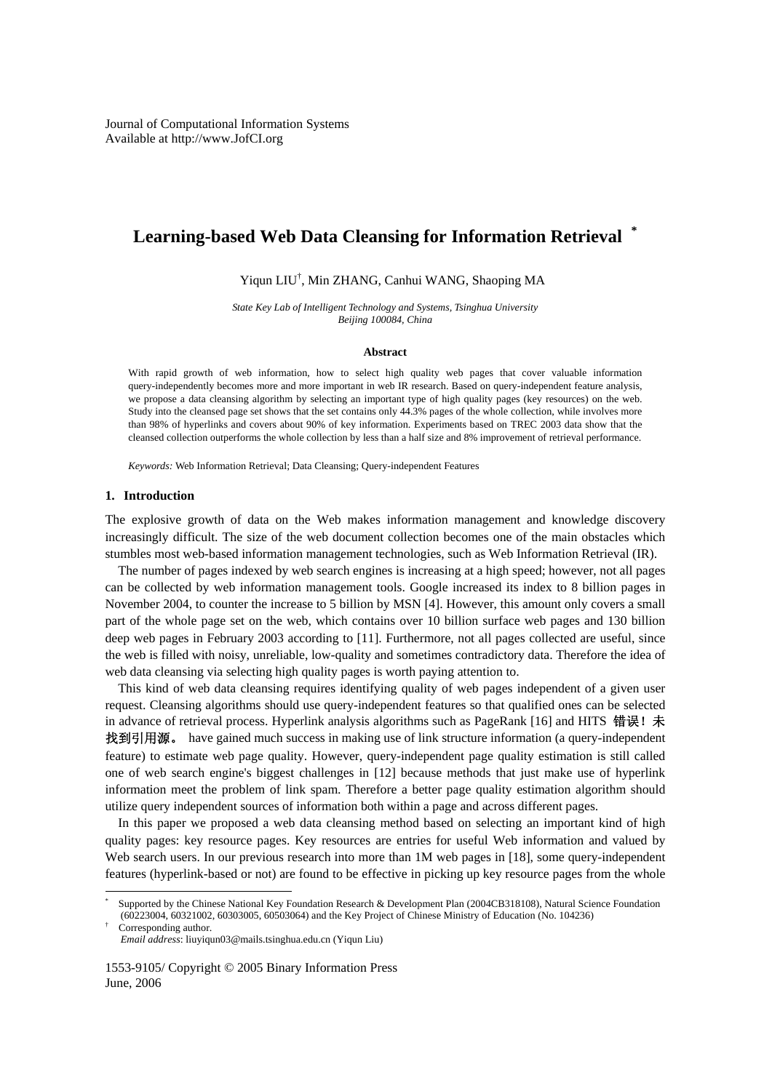# **Learning-based Web Data Cleansing for Information Retrieval \***

Yiqun LIU† , Min ZHANG, Canhui WANG, Shaoping MA

*State Key Lab of Intelligent Technology and Systems, Tsinghua University Beijing 100084, China* 

#### **Abstract**

With rapid growth of web information, how to select high quality web pages that cover valuable information query-independently becomes more and more important in web IR research. Based on query-independent feature analysis, we propose a data cleansing algorithm by selecting an important type of high quality pages (key resources) on the web. Study into the cleansed page set shows that the set contains only 44.3% pages of the whole collection, while involves more than 98% of hyperlinks and covers about 90% of key information. Experiments based on TREC 2003 data show that the cleansed collection outperforms the whole collection by less than a half size and 8% improvement of retrieval performance.

*Keywords:* Web Information Retrieval; Data Cleansing; Query-independent Features

#### **1. Introduction**

The explosive growth of data on the Web makes information management and knowledge discovery increasingly difficult. The size of the web document collection becomes one of the main obstacles which stumbles most web-based information management technologies, such as Web Information Retrieval (IR).

The number of pages indexed by web search engines is increasing at a high speed; however, not all pages can be collected by web information management tools. Google increased its index to 8 billion pages in November 2004, to counter the increase to 5 billion by MSN [4]. However, this amount only covers a small part of the whole page set on the web, which contains over 10 billion surface web pages and 130 billion deep web pages in February 2003 according to [11]. Furthermore, not all pages collected are useful, since the web is filled with noisy, unreliable, low-quality and sometimes contradictory data. Therefore the idea of web data cleansing via selecting high quality pages is worth paying attention to.

This kind of web data cleansing requires identifying quality of web pages independent of a given user request. Cleansing algorithms should use query-independent features so that qualified ones can be selected in advance of retrieval process. Hyperlink analysis algorithms such as PageRank [16] and HITS 错误! 未 找到引用源。 have gained much success in making use of link structure information (a query-independent feature) to estimate web page quality. However, query-independent page quality estimation is still called one of web search engine's biggest challenges in [12] because methods that just make use of hyperlink information meet the problem of link spam. Therefore a better page quality estimation algorithm should utilize query independent sources of information both within a page and across different pages.

In this paper we proposed a web data cleansing method based on selecting an important kind of high quality pages: key resource pages. Key resources are entries for useful Web information and valued by Web search users. In our previous research into more than 1M web pages in [18], some query-independent features (hyperlink-based or not) are found to be effective in picking up key resource pages from the whole

Corresponding author.

 $\overline{a}$ 

<sup>\*</sup> Supported by the Chinese National Key Foundation Research & Development Plan (2004CB318108), Natural Science Foundation (60223004, 60321002, 60303005, 60503064) and the Key Project of Chinese Ministry of Education (No. 104236) †

*Email address*: liuyiqun03@mails.tsinghua.edu.cn (Yiqun Liu)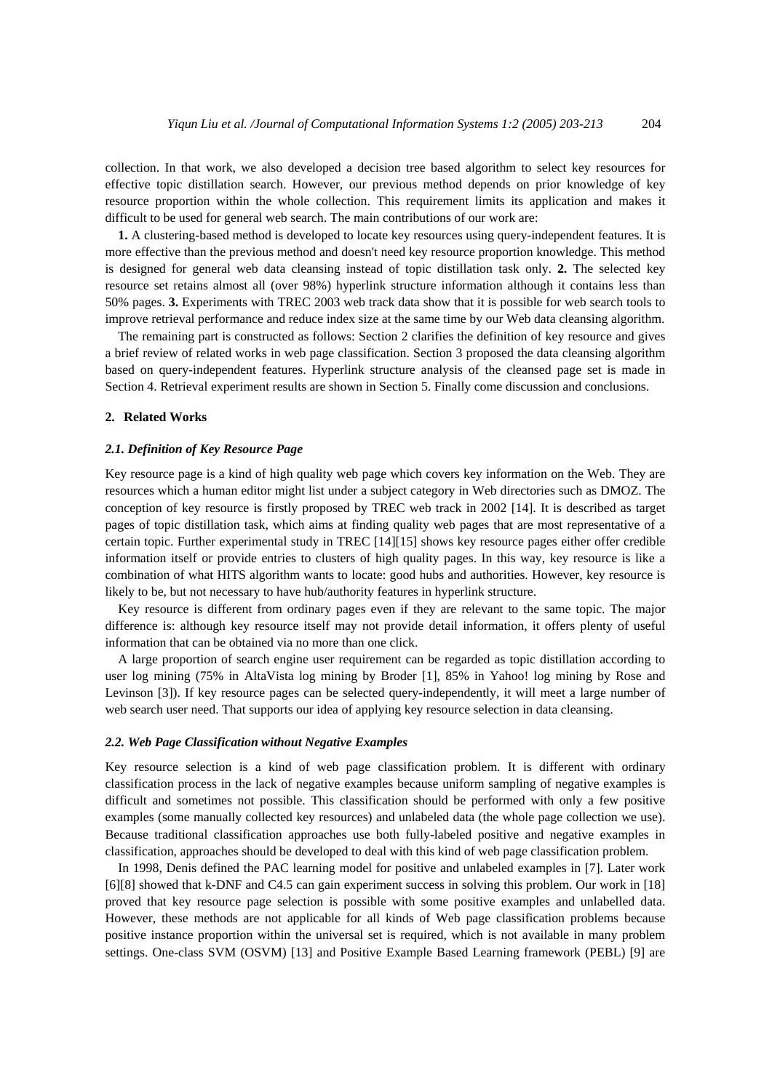collection. In that work, we also developed a decision tree based algorithm to select key resources for effective topic distillation search. However, our previous method depends on prior knowledge of key resource proportion within the whole collection. This requirement limits its application and makes it difficult to be used for general web search. The main contributions of our work are:

**1.** A clustering-based method is developed to locate key resources using query-independent features. It is more effective than the previous method and doesn't need key resource proportion knowledge. This method is designed for general web data cleansing instead of topic distillation task only. **2.** The selected key resource set retains almost all (over 98%) hyperlink structure information although it contains less than 50% pages. **3.** Experiments with TREC 2003 web track data show that it is possible for web search tools to improve retrieval performance and reduce index size at the same time by our Web data cleansing algorithm.

The remaining part is constructed as follows: Section 2 clarifies the definition of key resource and gives a brief review of related works in web page classification. Section 3 proposed the data cleansing algorithm based on query-independent features. Hyperlink structure analysis of the cleansed page set is made in Section 4. Retrieval experiment results are shown in Section 5. Finally come discussion and conclusions.

#### **2. Related Works**

## *2.1. Definition of Key Resource Page*

Key resource page is a kind of high quality web page which covers key information on the Web. They are resources which a human editor might list under a subject category in Web directories such as DMOZ. The conception of key resource is firstly proposed by TREC web track in 2002 [14]. It is described as target pages of topic distillation task, which aims at finding quality web pages that are most representative of a certain topic. Further experimental study in TREC [14][15] shows key resource pages either offer credible information itself or provide entries to clusters of high quality pages. In this way, key resource is like a combination of what HITS algorithm wants to locate: good hubs and authorities. However, key resource is likely to be, but not necessary to have hub/authority features in hyperlink structure.

Key resource is different from ordinary pages even if they are relevant to the same topic. The major difference is: although key resource itself may not provide detail information, it offers plenty of useful information that can be obtained via no more than one click.

A large proportion of search engine user requirement can be regarded as topic distillation according to user log mining (75% in AltaVista log mining by Broder [1], 85% in Yahoo! log mining by Rose and Levinson [3]). If key resource pages can be selected query-independently, it will meet a large number of web search user need. That supports our idea of applying key resource selection in data cleansing.

#### *2.2. Web Page Classification without Negative Examples*

Key resource selection is a kind of web page classification problem. It is different with ordinary classification process in the lack of negative examples because uniform sampling of negative examples is difficult and sometimes not possible. This classification should be performed with only a few positive examples (some manually collected key resources) and unlabeled data (the whole page collection we use). Because traditional classification approaches use both fully-labeled positive and negative examples in classification, approaches should be developed to deal with this kind of web page classification problem.

In 1998, Denis defined the PAC learning model for positive and unlabeled examples in [7]. Later work [6][8] showed that k-DNF and C4.5 can gain experiment success in solving this problem. Our work in [18] proved that key resource page selection is possible with some positive examples and unlabelled data. However, these methods are not applicable for all kinds of Web page classification problems because positive instance proportion within the universal set is required, which is not available in many problem settings. One-class SVM (OSVM) [13] and Positive Example Based Learning framework (PEBL) [9] are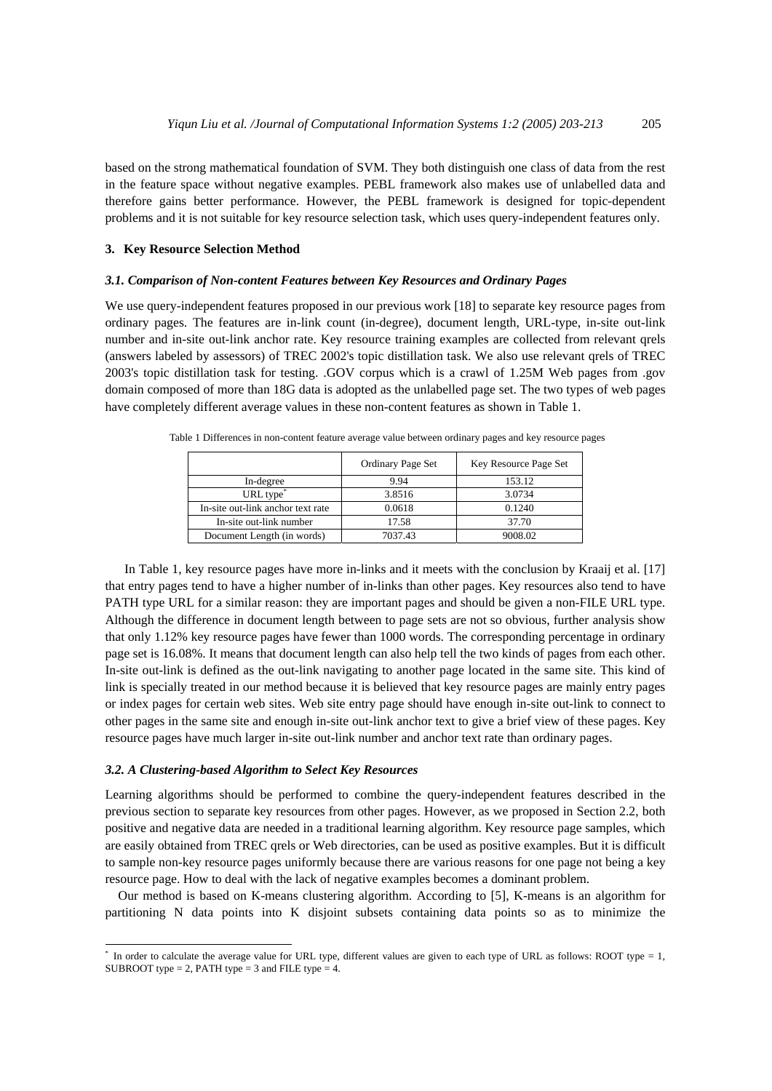based on the strong mathematical foundation of SVM. They both distinguish one class of data from the rest in the feature space without negative examples. PEBL framework also makes use of unlabelled data and therefore gains better performance. However, the PEBL framework is designed for topic-dependent problems and it is not suitable for key resource selection task, which uses query-independent features only.

#### **3. Key Resource Selection Method**

#### *3.1. Comparison of Non-content Features between Key Resources and Ordinary Pages*

We use query-independent features proposed in our previous work [18] to separate key resource pages from ordinary pages. The features are in-link count (in-degree), document length, URL-type, in-site out-link number and in-site out-link anchor rate. Key resource training examples are collected from relevant qrels (answers labeled by assessors) of TREC 2002's topic distillation task. We also use relevant qrels of TREC 2003's topic distillation task for testing. .GOV corpus which is a crawl of 1.25M Web pages from .gov domain composed of more than 18G data is adopted as the unlabelled page set. The two types of web pages have completely different average values in these non-content features as shown in Table 1.

|                                   | <b>Ordinary Page Set</b> | Key Resource Page Set |
|-----------------------------------|--------------------------|-----------------------|
| In-degree                         | 9.94                     | 153.12                |
| URL type <sup>®</sup>             | 3.8516                   | 3.0734                |
| In-site out-link anchor text rate | 0.0618                   | 0.1240                |
| In-site out-link number           | 17.58                    | 37.70                 |
| Document Length (in words)        | 7037.43                  | 9008.02               |

Table 1 Differences in non-content feature average value between ordinary pages and key resource pages

In Table 1, key resource pages have more in-links and it meets with the conclusion by Kraaij et al. [17] that entry pages tend to have a higher number of in-links than other pages. Key resources also tend to have PATH type URL for a similar reason: they are important pages and should be given a non-FILE URL type. Although the difference in document length between to page sets are not so obvious, further analysis show that only 1.12% key resource pages have fewer than 1000 words. The corresponding percentage in ordinary page set is 16.08%. It means that document length can also help tell the two kinds of pages from each other. In-site out-link is defined as the out-link navigating to another page located in the same site. This kind of link is specially treated in our method because it is believed that key resource pages are mainly entry pages or index pages for certain web sites. Web site entry page should have enough in-site out-link to connect to other pages in the same site and enough in-site out-link anchor text to give a brief view of these pages. Key resource pages have much larger in-site out-link number and anchor text rate than ordinary pages.

#### *3.2. A Clustering-based Algorithm to Select Key Resources*

 $\overline{a}$ 

Learning algorithms should be performed to combine the query-independent features described in the previous section to separate key resources from other pages. However, as we proposed in Section 2.2, both positive and negative data are needed in a traditional learning algorithm. Key resource page samples, which are easily obtained from TREC qrels or Web directories, can be used as positive examples. But it is difficult to sample non-key resource pages uniformly because there are various reasons for one page not being a key resource page. How to deal with the lack of negative examples becomes a dominant problem.

Our method is based on K-means clustering algorithm. According to [5], K-means is an algorithm for partitioning N data points into K disjoint subsets containing data points so as to minimize the

<sup>\*</sup> In order to calculate the average value for URL type, different values are given to each type of URL as follows: ROOT type = 1, SUBROOT type  $= 2$ , PATH type  $= 3$  and FILE type  $= 4$ .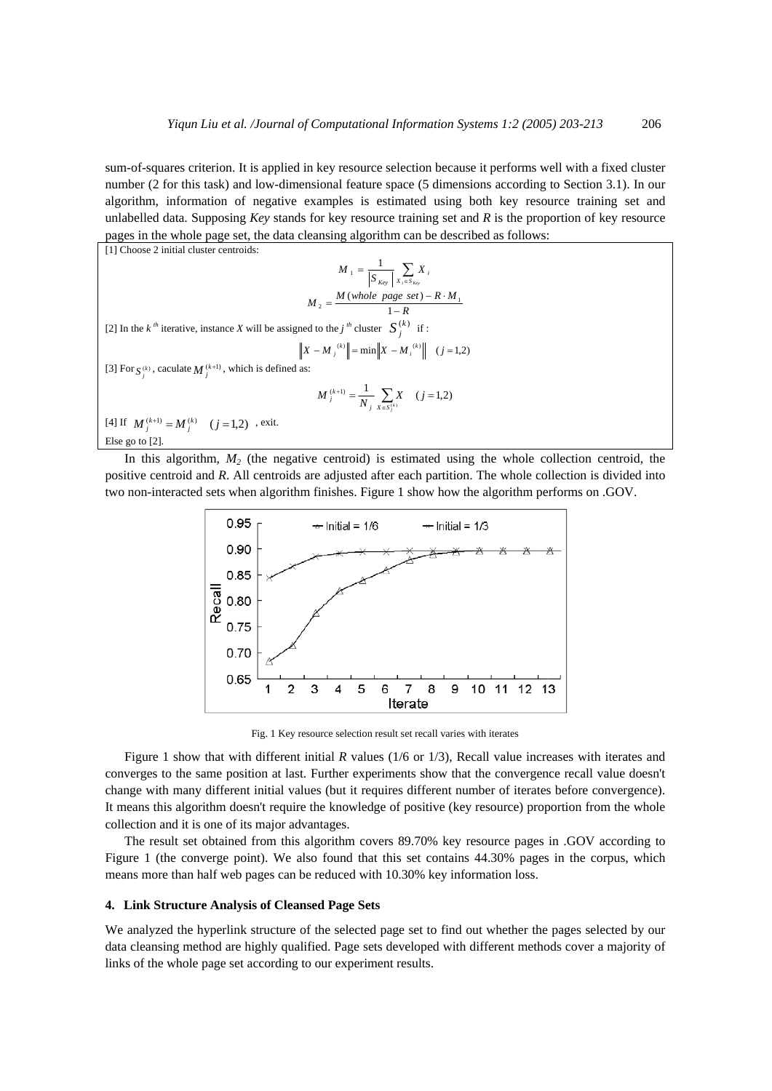sum-of-squares criterion. It is applied in key resource selection because it performs well with a fixed cluster number (2 for this task) and low-dimensional feature space (5 dimensions according to Section 3.1). In our algorithm, information of negative examples is estimated using both key resource training set and unlabelled data. Supposing *Key* stands for key resource training set and *R* is the proportion of key resource pages in the whole page set, the data cleansing algorithm can be described as follows:

[1] Choose 2 initial cluster centroids:  
\n
$$
M_1 = \frac{1}{|S_{Key}|} \sum_{X_i \in S_{Key}} X_i
$$
\n
$$
M_2 = \frac{M(\text{whole page set}) - R \cdot M_1}{1 - R}
$$
\n[2] In the *k*<sup>th</sup> iterative, instance *X* will be assigned to the *j*<sup>th</sup> cluster  $S_j^{(k)}$  if :  
\n
$$
\left\|X - M_j^{(k)}\right\| = \min \left\|X - M_i^{(k)}\right\| \quad (j = 1, 2)
$$
\n[3] For  $S_j^{(k)}$ , calculate  $M_j^{(k+1)}$ , which is defined as:  
\n
$$
M_j^{(k+1)} = \frac{1}{N_j} \sum_{X \in S_j^{(k)}} X \quad (j = 1, 2)
$$
\n[4] If  $M_j^{(k+1)} = M_j^{(k)}$   $(j = 1, 2)$ , exit.  
\nElse go to [2].

In this algorithm,  $M_2$  (the negative centroid) is estimated using the whole collection centroid, the positive centroid and *R*. All centroids are adjusted after each partition. The whole collection is divided into two non-interacted sets when algorithm finishes. Figure 1 show how the algorithm performs on .GOV.



Fig. 1 Key resource selection result set recall varies with iterates

Figure 1 show that with different initial *R* values (1/6 or 1/3), Recall value increases with iterates and converges to the same position at last. Further experiments show that the convergence recall value doesn't change with many different initial values (but it requires different number of iterates before convergence). It means this algorithm doesn't require the knowledge of positive (key resource) proportion from the whole collection and it is one of its major advantages.

The result set obtained from this algorithm covers 89.70% key resource pages in .GOV according to Figure 1 (the converge point). We also found that this set contains 44.30% pages in the corpus, which means more than half web pages can be reduced with 10.30% key information loss.

#### **4. Link Structure Analysis of Cleansed Page Sets**

We analyzed the hyperlink structure of the selected page set to find out whether the pages selected by our data cleansing method are highly qualified. Page sets developed with different methods cover a majority of links of the whole page set according to our experiment results.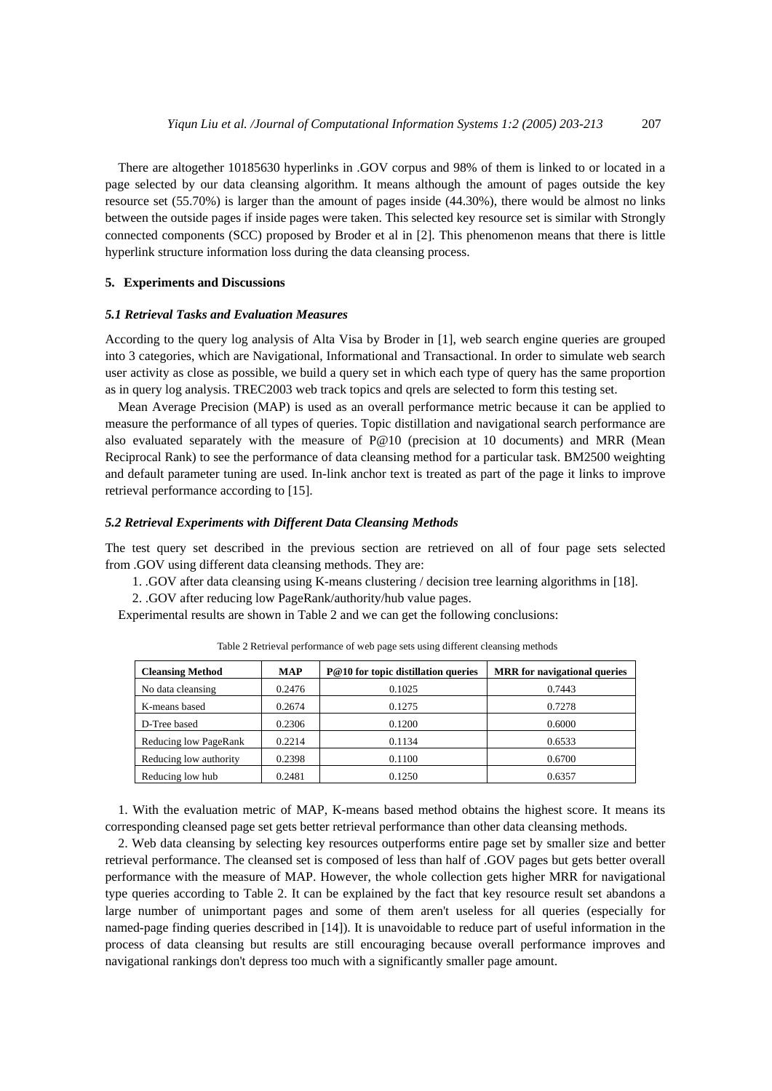There are altogether 10185630 hyperlinks in .GOV corpus and 98% of them is linked to or located in a page selected by our data cleansing algorithm. It means although the amount of pages outside the key resource set (55.70%) is larger than the amount of pages inside (44.30%), there would be almost no links between the outside pages if inside pages were taken. This selected key resource set is similar with Strongly connected components (SCC) proposed by Broder et al in [2]. This phenomenon means that there is little hyperlink structure information loss during the data cleansing process.

## **5. Experiments and Discussions**

#### *5.1 Retrieval Tasks and Evaluation Measures*

According to the query log analysis of Alta Visa by Broder in [1], web search engine queries are grouped into 3 categories, which are Navigational, Informational and Transactional. In order to simulate web search user activity as close as possible, we build a query set in which each type of query has the same proportion as in query log analysis. TREC2003 web track topics and qrels are selected to form this testing set.

Mean Average Precision (MAP) is used as an overall performance metric because it can be applied to measure the performance of all types of queries. Topic distillation and navigational search performance are also evaluated separately with the measure of  $P@10$  (precision at 10 documents) and MRR (Mean Reciprocal Rank) to see the performance of data cleansing method for a particular task. BM2500 weighting and default parameter tuning are used. In-link anchor text is treated as part of the page it links to improve retrieval performance according to [15].

#### *5.2 Retrieval Experiments with Different Data Cleansing Methods*

The test query set described in the previous section are retrieved on all of four page sets selected from .GOV using different data cleansing methods. They are:

- 1. .GOV after data cleansing using K-means clustering / decision tree learning algorithms in [18].
- 2. .GOV after reducing low PageRank/authority/hub value pages.

Experimental results are shown in Table 2 and we can get the following conclusions:

| <b>Cleansing Method</b> | <b>MAP</b> | P@10 for topic distillation queries | <b>MRR</b> for navigational queries |
|-------------------------|------------|-------------------------------------|-------------------------------------|
| No data cleansing       | 0.2476     | 0.1025                              | 0.7443                              |
| K-means based           | 0.2674     | 0.1275                              | 0.7278                              |
| D-Tree based            | 0.2306     | 0.1200                              | 0.6000                              |
| Reducing low PageRank   | 0.2214     | 0.1134                              | 0.6533                              |
| Reducing low authority  | 0.2398     | 0.1100                              | 0.6700                              |
| Reducing low hub        | 0.2481     | 0.1250                              | 0.6357                              |

Table 2 Retrieval performance of web page sets using different cleansing methods

1. With the evaluation metric of MAP, K-means based method obtains the highest score. It means its corresponding cleansed page set gets better retrieval performance than other data cleansing methods.

 2. Web data cleansing by selecting key resources outperforms entire page set by smaller size and better retrieval performance. The cleansed set is composed of less than half of .GOV pages but gets better overall performance with the measure of MAP. However, the whole collection gets higher MRR for navigational type queries according to Table 2. It can be explained by the fact that key resource result set abandons a large number of unimportant pages and some of them aren't useless for all queries (especially for named-page finding queries described in [14]). It is unavoidable to reduce part of useful information in the process of data cleansing but results are still encouraging because overall performance improves and navigational rankings don't depress too much with a significantly smaller page amount.